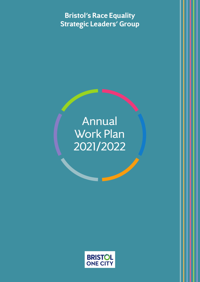**Bristol's Race Equality Strategic Leaders' Group**

# Annual Work Plan 2021/2022

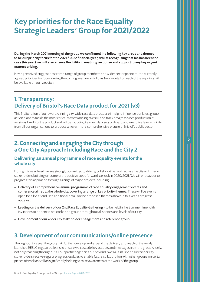## **Key priorities for the Race Equality Strategic Leaders' Group for 2021/2022**

**During the March 2021 meeting of the group we confirmed the following key areas and themes to be our priority focus for the 2021 / 2022 financial year, whilst recognising that (as has been the case this year) we will also ensure flexibility in enabling response and support to any key urgent matters arising.**

Having received suggestions from a range of group members and wider sector partners, the currently agreed priorities for focus during the coming year are as follows (more detail on each of these points will be available on our website):

#### **1. Transparency: Delivery of Bristol's Race Data product for 2021 (v3)**

This 3rd iteration of our award winning city-wide race data product will help to influence our latest group action plans to tackle the most critical matters arising. We will also track progress since production of versions 1 and 2 of the product and will be including key new data sets on board and executive level ethnicity from all our organisations to produce an even more comprehensive picture of Bristol's public sector.

**2**

### **2. Connecting and engaging the City through a One City Approach: Including Race and the City 2**

#### **Delivering an annual programme of race equality events for the whole city**

During this year head we are strongly committed to driving collaborative work across the city with many stakeholders building on some of the positive steps forward we took in 2020/2021. We will endeavour to progress this aspiration through a range of major projects including:

- Delivery of a comprehensive annual programme of race equality engagement events and conference aimed at the whole city, covering a range of key priority themes. These will be events open for all to attend (see additional detail on the proposed themes above in this year's progress updates).
- Leading on the delivery of our 2nd Race Equality Gathering to be held in the Summer time, with invitations to be sent to networks and groups throughout all sectors and levels of our city.
- Development of our wider city stakeholder engagement and reference group.

#### **3. Development of our communications/online presence**

Throughout this year the group will further develop and expand the delivery and reach of the newly launched RESLG regular bulletins to ensure we cascade key outputs and messages from the group widely, not only reaching throughout all our partner agencies but beyond. We will aim is to ensure wider city stakeholders receive regular progress updates to enable future collaboration with other groups on certain pieces of work as well as significantly helping to raise awareness of the work of the group.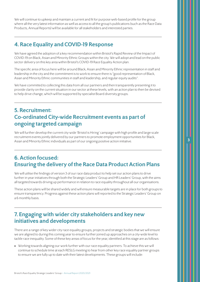We will continue to upkeep and maintain a current and fit for purpose web-based profile for the group where all the very latest information as well as access to all the group's publications (such as the Race Data Products, Annual Reports) will be available for all stakeholders and interested parties.

### **4. Race Equality and COVID-19 Response**

We have agreed the adoption of a key recommendation within Bristol's Rapid Review of the Impact of COVID-19 on Black, Asian and Minority Ethnic Groups within the city. We will adopt and lead on the public sector delivery on this key area within Bristol's COVID-19 Race Equality Action plan.

The specific area of focus here will be around Black, Asian and Minority Ethnic representation in staff and leadership in the city and the commitment is to work to ensure there is "good representation of Black, Asian and Minority Ethnic communities in staff and leadership, and regular equity audits".

We have committed to collecting this data from all our partners and then transparently presenting it to provide clarity on the current situation in our sector at these levels, with an action plan to then be devised to help drive change, which will be supported by specialist Board diversity groups.

#### **5. Recruitment: Co-ordinated City-wide Recruitment events as part of ongoing targeted campaign**

We will further develop the current city-wide 'Bristol is Hiring' campaign with high profile and large scale recruitment events jointly delivered by our partners to promote employment opportunities for Black, Asian and Minority Ethnic individuals as part of our ongoing positive action initiative.

**3**

## **6. Action focused: Ensuring the delivery of the Race Data Product Action Plans**

We will utilise the findings of version 3 of our race data product to help set our action plans to drive further in year initiatives through both the Strategic Leaders' Group and HR Leaders' Group, with the aims all targeted towards driving up performance in relation to race equality throughout all our organisations.

These action plans will be shared widely and will ensure measurable targets are in place for both groups to ensure transparency. Progress against these action plans will reported to the Strategic Leaders' Group on a 6 monthly basis.

### **7. Engaging with wider city stakeholders and key new initiatives and developments**

There are a range of key wider city race equality groups, projects and strategic bodies that we will ensure we are aligned to during this coming year to ensure further joined up approaches on a city-wide level to tackle race inequality. Some of these key areas of focus for the year, identified at this stage are as follows:

• Working towards aligning our work further with our race equality partners. To achieve this we will continue to schedule time at each RESLG meeting to hear from other key race equality partner groups to ensure we are fully up to date with their latest developments. These groups will include: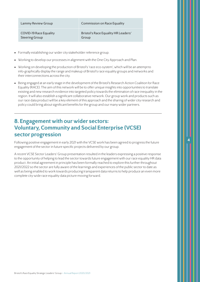| Lammy Review Group     | Commission on Race Equality         |
|------------------------|-------------------------------------|
| COVID-19 Race Equality | Bristol's Race Equality HR Leaders' |
| <b>Steering Group</b>  | Group                               |

- Formally establishing our wider city stakeholder reference group.
- Working to develop our processes in alignment with the One City Approach and Plan.
- Working on developing the production of Bristol's 'race eco-system', which will be an attempt to info-graphically display the range and makeup of Bristol's race equality groups and networks and their interconnections across the city.
- Being engaged at an early stage in the development of the Bristol's Research Action Coalition for Race Equality (RACE). The aim of this network will be to offer unique insights into opportunities to translate existing and new research evidence into targeted policy towards the elimination of race inequality in the region. It will also establish a significant collaborative network. Our group work and products such as our race data product will be a key element of this approach and the sharing of wider city research and policy could bring about significant benefits for the group and our many wider partners.

### **8. Engagement with our wider sectors: Voluntary, Community and Social Enterprise (VCSE) sector progression**

Following positive engagement in early 2021 with the VCSE work has been agreed to progress the future engagement of the sector in future specific projects delivered by our group.

**4**

A recent VCSE Sector Leaders' Group presentation resulted in the leaders expressing a positive response to the opportunity of helping to lead the sector towards future engagement with our race equality HR data product. An initial agreement in principle has been formally reached to explore this further throughout 2021/2022 so the sector are fully aware of the learnings and experiences of the public sector to date as well as being enabled to work towards producing transparent data returns to help produce an even more complete city-wide race equality data picture moving forward.